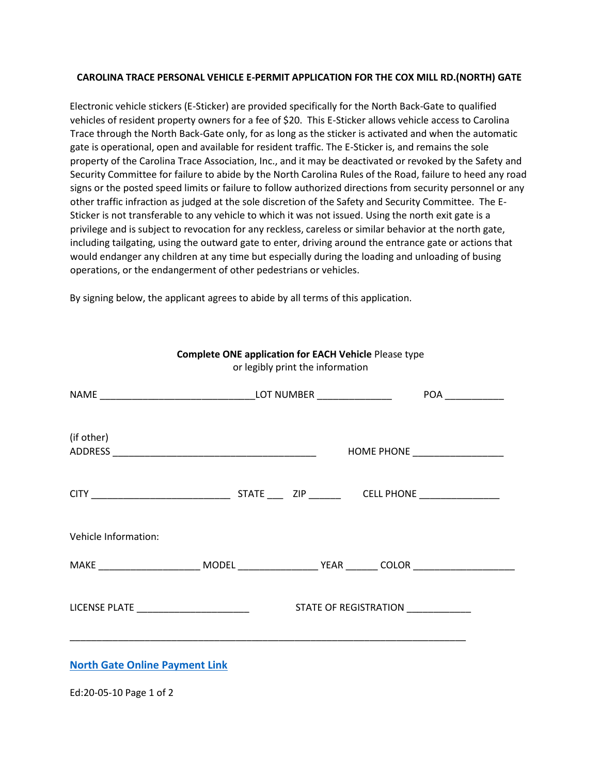## **CAROLINA TRACE PERSONAL VEHICLE E-PERMIT APPLICATION FOR THE COX MILL RD.(NORTH) GATE**

Electronic vehicle stickers (E-Sticker) are provided specifically for the North Back-Gate to qualified vehicles of resident property owners for a fee of \$20. This E-Sticker allows vehicle access to Carolina Trace through the North Back-Gate only, for as long as the sticker is activated and when the automatic gate is operational, open and available for resident traffic. The E-Sticker is, and remains the sole property of the Carolina Trace Association, Inc., and it may be deactivated or revoked by the Safety and Security Committee for failure to abide by the North Carolina Rules of the Road, failure to heed any road signs or the posted speed limits or failure to follow authorized directions from security personnel or any other traffic infraction as judged at the sole discretion of the Safety and Security Committee. The E-Sticker is not transferable to any vehicle to which it was not issued. Using the north exit gate is a privilege and is subject to revocation for any reckless, careless or similar behavior at the north gate, including tailgating, using the outward gate to enter, driving around the entrance gate or actions that would endanger any children at any time but especially during the loading and unloading of busing operations, or the endangerment of other pedestrians or vehicles.

> **Complete ONE application for EACH Vehicle** Please type or legibly print the information

By signing below, the applicant agrees to abide by all terms of this application.

| (if other)                                                                                                     |  |  | HOME PHONE ____________________   |  |  |
|----------------------------------------------------------------------------------------------------------------|--|--|-----------------------------------|--|--|
|                                                                                                                |  |  |                                   |  |  |
| Vehicle Information:                                                                                           |  |  |                                   |  |  |
| MAKE ______________________________MODEL _______________________YEAR _________ COLOR _________________________ |  |  |                                   |  |  |
| LICENSE PLATE _________________________                                                                        |  |  | STATE OF REGISTRATION ___________ |  |  |
| <b>North Gate Online Payment Link</b>                                                                          |  |  |                                   |  |  |
| Ed:20-05-10 Page 1 of 2                                                                                        |  |  |                                   |  |  |